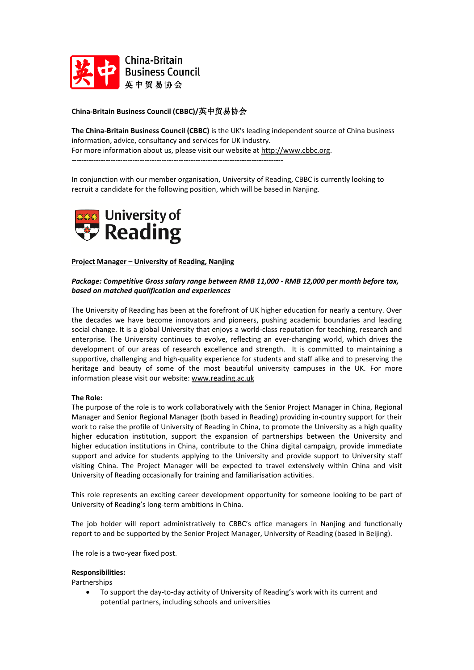

# **China-Britain Business Council (CBBC)/**英中贸易协会

**The China-Britain Business Council (CBBC)** is the UK's leading independent source of China business information, advice, consultancy and services for UK industry. For more information about us, please visit our website at [http://www.cbbc.org.](http://www.cbbc.org/) ---------------------------------------------------------------------------------------

In conjunction with our member organisation, University of Reading, CBBC is currently looking to recruit a candidate for the following position, which will be based in Nanjing.



**Project Manager – University of Reading, Nanjing**

# *Package: Competitive Gross salary range between RMB 11,000 - RMB 12,000 per month before tax, based on matched qualification and experiences*

The University of Reading has been at the forefront of UK higher education for nearly a century. Over the decades we have become innovators and pioneers, pushing academic boundaries and leading social change. It is a global University that enjoys a world-class reputation for teaching, research and enterprise. The University continues to evolve, reflecting an ever-changing world, which drives the development of our areas of research excellence and strength. It is committed to maintaining a supportive, challenging and high-quality experience for students and staff alike and to preserving the heritage and beauty of some of the most beautiful university campuses in the UK. For more information please visit our website: [www.reading.ac.uk](http://www.reading.ac.uk/)

## **The Role:**

The purpose of the role is to work collaboratively with the Senior Project Manager in China, Regional Manager and Senior Regional Manager (both based in Reading) providing in-country support for their work to raise the profile of University of Reading in China, to promote the University as a high quality higher education institution, support the expansion of partnerships between the University and higher education institutions in China, contribute to the China digital campaign, provide immediate support and advice for students applying to the University and provide support to University staff visiting China. The Project Manager will be expected to travel extensively within China and visit University of Reading occasionally for training and familiarisation activities.

This role represents an exciting career development opportunity for someone looking to be part of University of Reading's long-term ambitions in China.

The job holder will report administratively to CBBC's office managers in Nanjing and functionally report to and be supported by the Senior Project Manager, University of Reading (based in Beijing).

The role is a two-year fixed post.

# **Responsibilities:**

Partnerships

• To support the day-to-day activity of University of Reading's work with its current and potential partners, including schools and universities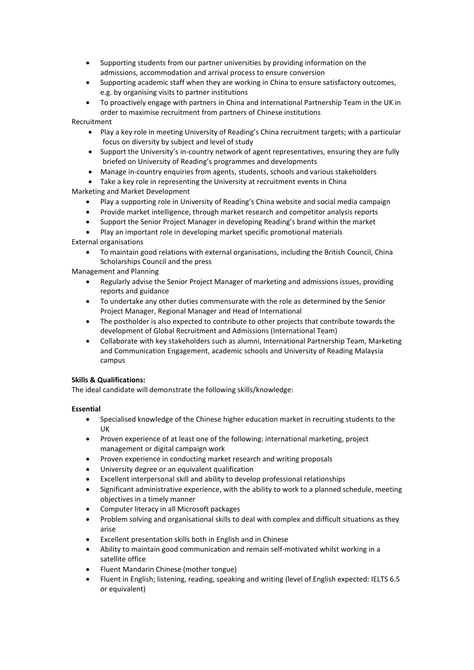- Supporting students from our partner universities by providing information on the admissions, accommodation and arrival process to ensure conversion
- Supporting academic staff when they are working in China to ensure satisfactory outcomes, e.g. by organising visits to partner institutions
- To proactively engage with partners in China and International Partnership Team in the UK in order to maximise recruitment from partners of Chinese institutions

Recruitment

- Play a key role in meeting University of Reading's China recruitment targets; with a particular focus on diversity by subject and level of study
- Support the University's in-country network of agent representatives, ensuring they are fully briefed on University of Reading's programmes and developments
- Manage in-country enquiries from agents, students, schools and various stakeholders

• Take a key role in representing the University at recruitment events in China Marketing and Market Development

- Play a supporting role in University of Reading's China website and social media campaign
- Provide market intelligence, through market research and competitor analysis reports
- Support the Senior Project Manager in developing Reading's brand within the market
- Play an important role in developing market specific promotional materials

External organisations

• To maintain good relations with external organisations, including the British Council, China Scholarships Council and the press

Management and Planning

- Regularly advise the Senior Project Manager of marketing and admissions issues, providing reports and guidance
- To undertake any other duties commensurate with the role as determined by the Senior Project Manager, Regional Manager and Head of International
- The postholder is also expected to contribute to other projects that contribute towards the development of Global Recruitment and Admissions (International Team)
- Collaborate with key stakeholders such as alumni, International Partnership Team, Marketing and Communication Engagement, academic schools and University of Reading Malaysia campus

## **Skills & Qualifications:**

The ideal candidate will demonstrate the following skills/knowledge:

## **Essential**

- Specialised knowledge of the Chinese higher education market in recruiting students to the UK
- Proven experience of at least one of the following: international marketing, project management or digital campaign work
- Proven experience in conducting market research and writing proposals
- University degree or an equivalent qualification
- Excellent interpersonal skill and ability to develop professional relationships
- Significant administrative experience, with the ability to work to a planned schedule, meeting objectives in a timely manner
- Computer literacy in all Microsoft packages
- Problem solving and organisational skills to deal with complex and difficult situations as they arise
- Excellent presentation skills both in English and in Chinese
- Ability to maintain good communication and remain self-motivated whilst working in a satellite office
- Fluent Mandarin Chinese (mother tongue)
- Fluent in English; listening, reading, speaking and writing (level of English expected: IELTS 6.5 or equivalent)